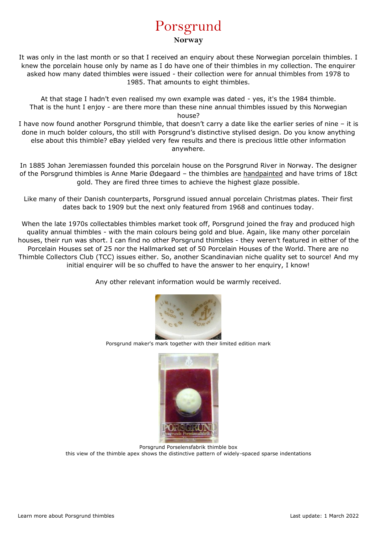## Porsgrund **Norway**

It was only in the last month or so that I received an enquiry about these Norwegian porcelain thimbles. I knew the porcelain house only by name as I do have one of their thimbles in my collection. The enquirer asked how many dated thimbles were issued - their collection were for annual thimbles from 1978 to 1985. That amounts to eight thimbles.

At that stage I hadn't even realised my own example was dated - yes, it's the 1984 thimble. That is the hunt I enjoy - are there more than these nine annual thimbles issued by this Norwegian house?

I have now found another Porsgrund thimble, that doesn't carry a date like the earlier series of nine – it is done in much bolder colours, tho still with Porsgrund's distinctive stylised design. Do you know anything else about this thimble? eBay yielded very few results and there is precious little other information anywhere.

In 1885 Johan Jeremiassen founded this porcelain house on the Porsgrund River in Norway. The designer of the Porsgrund thimbles is Anne Marie Ødegaard – the thimbles are handpainted and have trims of 18ct gold. They are fired three times to achieve the highest glaze possible.

Like many of their Danish counterparts, Porsgrund issued annual porcelain Christmas plates. Their first dates back to 1909 but the next only featured from 1968 and continues today.

When the late 1970s collectables thimbles market took off, Porsgrund joined the fray and produced high quality annual thimbles - with the main colours being gold and blue. Again, like many other porcelain houses, their run was short. I can find no other Porsgrund thimbles - they weren't featured in either of the Porcelain Houses set of 25 nor the Hallmarked set of 50 Porcelain Houses of the World. There are no Thimble Collectors Club (TCC) issues either. So, another Scandinavian niche quality set to source! And my initial enquirer will be so chuffed to have the answer to her enquiry, I know!

Any other relevant information would be warmly received.



Porsgrund maker's mark together with their limited edition mark



Porsgrund Porselensfabrik thimble box this view of the thimble apex shows the distinctive pattern of widely-spaced sparse indentations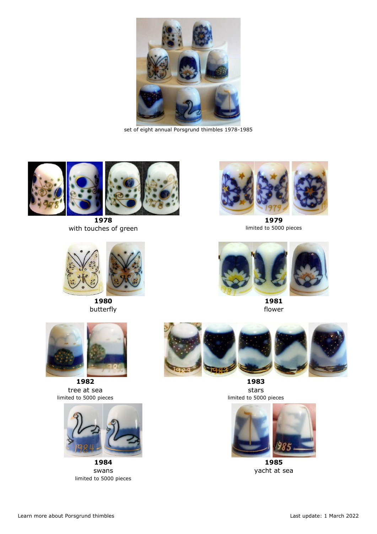

set of eight annual Porsgrund thimbles 1978-1985



**1978** with touches of green



**1980** butterfly



**1982** tree at sea limited to 5000 pieces



**1984** swans limited to 5000 pieces



**1979** limited to 5000 pieces



**1981** flower



**1983** stars limited to 5000 pieces



**1985** yacht at sea